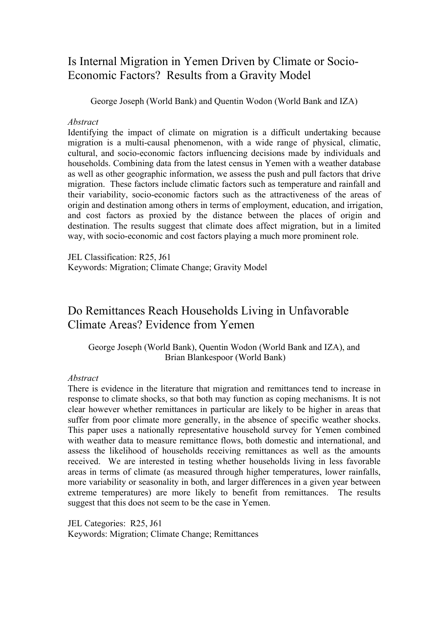## Is Internal Migration in Yemen Driven by Climate or Socio-Economic Factors? Results from a Gravity Model

George Joseph (World Bank) and Quentin Wodon (World Bank and IZA)

#### *Abstract*

Identifying the impact of climate on migration is a difficult undertaking because migration is a multi-causal phenomenon, with a wide range of physical, climatic, cultural, and socio-economic factors influencing decisions made by individuals and households. Combining data from the latest census in Yemen with a weather database as well as other geographic information, we assess the push and pull factors that drive migration. These factors include climatic factors such as temperature and rainfall and their variability, socio-economic factors such as the attractiveness of the areas of origin and destination among others in terms of employment, education, and irrigation, and cost factors as proxied by the distance between the places of origin and destination. The results suggest that climate does affect migration, but in a limited way, with socio-economic and cost factors playing a much more prominent role.

JEL Classification: R25, J61 Keywords: Migration; Climate Change; Gravity Model

# Do Remittances Reach Households Living in Unfavorable Climate Areas? Evidence from Yemen

George Joseph (World Bank), Quentin Wodon (World Bank and IZA), and Brian Blankespoor (World Bank)

#### *Abstract*

There is evidence in the literature that migration and remittances tend to increase in response to climate shocks, so that both may function as coping mechanisms. It is not clear however whether remittances in particular are likely to be higher in areas that suffer from poor climate more generally, in the absence of specific weather shocks. This paper uses a nationally representative household survey for Yemen combined with weather data to measure remittance flows, both domestic and international, and assess the likelihood of households receiving remittances as well as the amounts received. We are interested in testing whether households living in less favorable areas in terms of climate (as measured through higher temperatures, lower rainfalls, more variability or seasonality in both, and larger differences in a given year between extreme temperatures) are more likely to benefit from remittances. The results suggest that this does not seem to be the case in Yemen.

JEL Categories: R25, J61 Keywords: Migration; Climate Change; Remittances